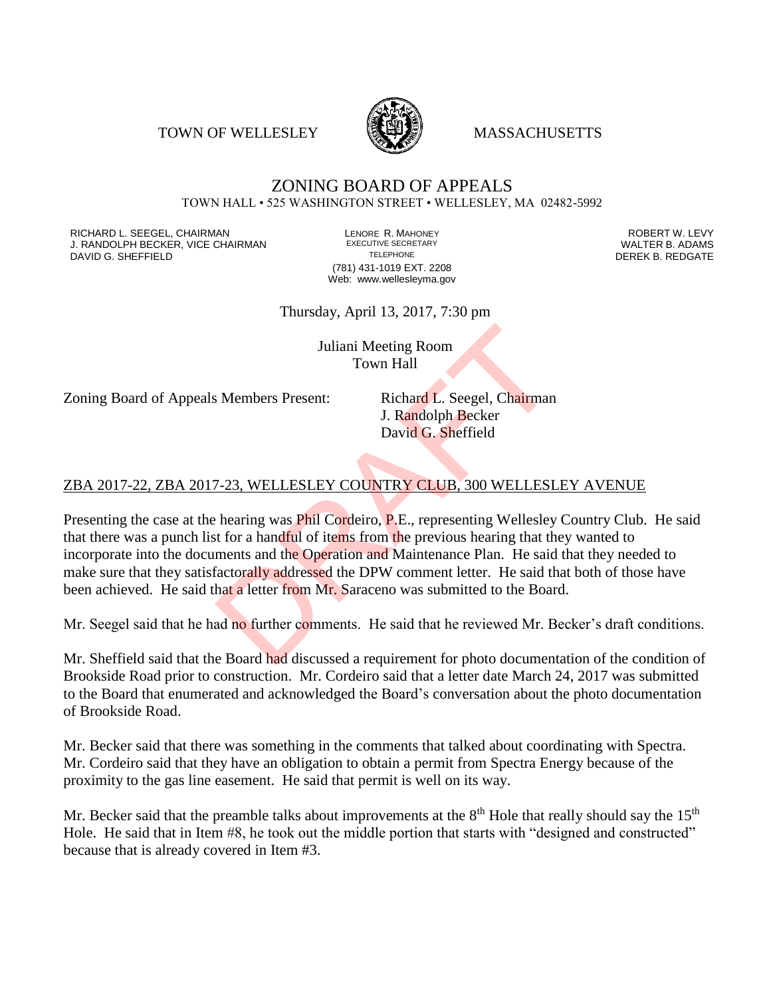TOWN OF WELLESLEY **WASSACHUSETTS** 



## ZONING BOARD OF APPEALS TOWN HALL • 525 WASHINGTON STREET • WELLESLEY, MA 02482-5992

RICHARD L. SEEGEL, CHAIRMAN LENORE R. MAHONEY ROBERT W. LEVY J. RANDOLPH BECKER, VICE CHAIRMAN EXECUTIVE SECRETARY THE SECRETARY THE SANDOLPH BECKER B. ADAMS<br>DEREK B. REDGATE DAVID G. SHEFFIELD

(781) 431-1019 EXT. 2208 Web: www.wellesleyma.gov

Thursday, April 13, 2017, 7:30 pm

Juliani Meeting Room Town Hall

Zoning Board of Appeals Members Present: Richard L. Seegel, Chairman

J. Randolph Becker David G. Sheffield

## ZBA 2017-22, ZBA 2017-23, WELLESLEY COUNTRY CLUB, 300 WELLESLEY AVENUE

Presenting the case at the hearing was Phil Cordeiro, P.E., representing Wellesley Country Club. He said that there was a punch list for a handful of items from the previous hearing that they wanted to incorporate into the documents and the Operation and Maintenance Plan. He said that they needed to make sure that they satisfactorally addressed the DPW comment letter. He said that both of those have been achieved. He said that a letter from Mr. Saraceno was submitted to the Board. Juliani Meeting Room<br>Town Hall<br>S. Members Present: Richard L. Seegel, Chairman<br>J. Randolph Becker<br>David G. Sheffield<br>Towid G. Sheffield<br>Towid G. Sheffield<br>Towid G. Sheffield<br>Towid G. Sheffield<br>The previous hearing was Phil

Mr. Seegel said that he had no further comments. He said that he reviewed Mr. Becker's draft conditions.

Mr. Sheffield said that the Board had discussed a requirement for photo documentation of the condition of Brookside Road prior to construction. Mr. Cordeiro said that a letter date March 24, 2017 was submitted to the Board that enumerated and acknowledged the Board's conversation about the photo documentation of Brookside Road.

Mr. Becker said that there was something in the comments that talked about coordinating with Spectra. Mr. Cordeiro said that they have an obligation to obtain a permit from Spectra Energy because of the proximity to the gas line easement. He said that permit is well on its way.

Mr. Becker said that the preamble talks about improvements at the  $8<sup>th</sup>$  Hole that really should say the  $15<sup>th</sup>$ Hole. He said that in Item #8, he took out the middle portion that starts with "designed and constructed" because that is already covered in Item #3.